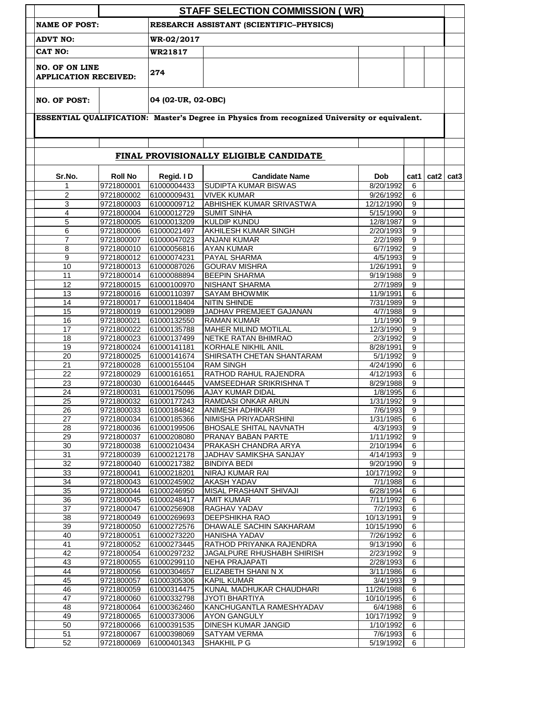|                                                                 |                          |                            | <b>STAFF SELECTION COMMISSION (WR)</b>                                                        |                        |                |               |  |
|-----------------------------------------------------------------|--------------------------|----------------------------|-----------------------------------------------------------------------------------------------|------------------------|----------------|---------------|--|
| RESEARCH ASSISTANT (SCIENTIFIC-PHYSICS)<br><b>NAME OF POST:</b> |                          |                            |                                                                                               |                        |                |               |  |
| <b>ADVT NO:</b>                                                 |                          | WR-02/2017                 |                                                                                               |                        |                |               |  |
| CAT NO:                                                         |                          |                            |                                                                                               |                        |                |               |  |
| <b>NO. OF ON LINE</b><br><b>APPLICATION RECEIVED:</b>           |                          | 274                        |                                                                                               |                        |                |               |  |
| <b>NO. OF POST:</b>                                             |                          | 04 (02-UR, 02-OBC)         |                                                                                               |                        |                |               |  |
|                                                                 |                          |                            |                                                                                               |                        |                |               |  |
|                                                                 |                          |                            | ESSENTIAL QUALIFICATION: Master's Degree in Physics from recognized University or equivalent. |                        |                |               |  |
|                                                                 |                          |                            |                                                                                               |                        |                |               |  |
|                                                                 |                          |                            | FINAL PROVISIONALLY ELIGIBLE CANDIDATE                                                        |                        |                |               |  |
|                                                                 |                          |                            |                                                                                               |                        |                |               |  |
| Sr.No.                                                          | <b>Roll No</b>           | Regid. ID                  | <b>Candidate Name</b><br><b>SUDIPTA KUMAR BISWAS</b>                                          | Dob                    | cat1           | $cat2$ $cat3$ |  |
| 1<br>$\overline{2}$                                             | 9721800001<br>9721800002 | 61000004433<br>61000009431 | <b>VIVEK KUMAR</b>                                                                            | 8/20/1992<br>9/26/1992 | 6<br>6         |               |  |
| 3                                                               | 9721800003               | 61000009712                | <b>ABHISHEK KUMAR SRIVASTWA</b>                                                               | 12/12/1990             | 9              |               |  |
| 4                                                               | 9721800004               | 61000012729                | <b>SUMIT SINHA</b>                                                                            | 5/15/1990              | 9              |               |  |
| 5                                                               | 9721800005               | 61000013209                | <b>KULDIP KUNDU</b>                                                                           | 12/8/1987              | 9              |               |  |
| 6                                                               | 9721800006               | 61000021497                | <b>AKHILESH KUMAR SINGH</b>                                                                   | 2/20/1993              | 9              |               |  |
| 7                                                               | 9721800007               | 61000047023                | <b>ANJANI KUMAR</b>                                                                           | 2/2/1989               | 9              |               |  |
| 8                                                               | 9721800010               | 61000056816                | <b>AYAN KUMAR</b>                                                                             | 6/7/1992               | 9              |               |  |
| 9                                                               | 9721800012               | 61000074231                | PAYAL SHARMA                                                                                  | 4/5/1993               | 9              |               |  |
| 10                                                              | 9721800013               | 61000087026                | <b>GOURAV MISHRA</b>                                                                          | 1/26/1991              | 9              |               |  |
| 11<br>12                                                        | 9721800014               | 61000088894                | <b>BEEPIN SHARMA</b>                                                                          | 9/19/1988              | 9<br>9         |               |  |
| 13                                                              | 9721800015<br>9721800016 | 61000100970<br>61000110397 | <b>NISHANT SHARMA</b><br><b>SAYAM BHOWMIK</b>                                                 | 2/7/1989<br>11/9/1991  | 6              |               |  |
| 14                                                              | 9721800017               | 61000118404                | <b>NITIN SHINDE</b>                                                                           | 7/31/1989              | 9              |               |  |
| 15                                                              | 9721800019               | 61000129089                | JADHAV PREMJEET GAJANAN                                                                       | 4/7/1988               | 9              |               |  |
| 16                                                              | 9721800021               | 61000132550                | <b>RAMAN KUMAR</b>                                                                            | 1/1/1990               | 9              |               |  |
| 17                                                              | 9721800022               | 61000135788                | <b>MAHER MILIND MOTILAL</b>                                                                   | 12/3/1990              | 9              |               |  |
| 18                                                              | 9721800023               | 61000137499                | NETKE RATAN BHIMRAO                                                                           | 2/3/1992               | 9              |               |  |
| 19                                                              | 9721800024               | 61000141181                | KORHALE NIKHIL ANIL                                                                           | 8/28/1991              | 9              |               |  |
| 20                                                              | 9721800025               | 61000141674                | SHIRSATH CHETAN SHANTARAM                                                                     | 5/1/1992               | 9              |               |  |
| 21                                                              | 9721800028               | 61000155104                | <b>RAM SINGH</b>                                                                              | 4/24/1990              | 6              |               |  |
| 22                                                              | 9721800029               | 61000161651                | RATHOD RAHUL RAJENDRA                                                                         | 4/12/1993<br>8/29/1988 | 6<br>9         |               |  |
| 23<br>24                                                        | 9721800030<br>9721800031 | 61000164445<br>61000175096 | VAMSEEDHAR SRIKRISHNA T<br><b>AJAY KUMAR DIDAL</b>                                            | 1/8/1995               | 6              |               |  |
| 25                                                              | 9721800032               | 61000177243                | <b>RAMDASI ONKAR ARUN</b>                                                                     | 1/31/1992              | 9              |               |  |
| 26                                                              | 9721800033               | 61000184842                | <b>ANIMESH ADHIKARI</b>                                                                       | 7/6/1993               | 9              |               |  |
| 27                                                              | 9721800034               | 61000185366                | NIMISHA PRIYADARSHINI                                                                         | 1/31/1985              | 6              |               |  |
| 28                                                              | 9721800036               | 61000199506                | BHOSALE SHITAL NAVNATH                                                                        | 4/3/1993               | 9              |               |  |
| 29                                                              | 9721800037               | 61000208080                | PRANAY BABAN PARTE                                                                            | 1/11/1992              | 9              |               |  |
| 30                                                              | 9721800038               | 61000210434                | PRAKASH CHANDRA ARYA                                                                          | 2/10/1994              | 6              |               |  |
| 31                                                              | 9721800039               | 61000212178                | JADHAV SAMIKSHA SANJAY                                                                        | 4/14/1993              | 9              |               |  |
| 32                                                              | 9721800040               | 61000217382                | <b>BINDIYA BEDI</b>                                                                           | 9/20/1990              | 9              |               |  |
| 33                                                              | 9721800041               | 61000218201                | NIRAJ KUMAR RAI<br><b>AKASH YADAV</b>                                                         | 10/17/1992<br>7/1/1988 | 9<br>6         |               |  |
| 34<br>$\overline{35}$                                           | 9721800043<br>9721800044 | 61000245902<br>61000246950 | MISAL PRASHANT SHIVAJI                                                                        | 6/28/1994              | 6              |               |  |
| 36                                                              | 9721800045               | 61000248417                | <b>AMIT KUMAR</b>                                                                             | 7/11/1992              | $\,6\,$        |               |  |
| 37                                                              | 9721800047               | 61000256908                | RAGHAV YADAV                                                                                  | $\frac{1}{7}/2/1993$   | 6              |               |  |
| 38                                                              | 9721800049               | 61000269693                | DEEPSHIKHA RAO                                                                                | 10/13/1991             | 9              |               |  |
| 39                                                              | 9721800050               | 61000272576                | DHAWALE SACHIN SAKHARAM                                                                       | 10/15/1990             | $\overline{6}$ |               |  |
| 40                                                              | 9721800051               | 61000273220                | <b>HANISHA YADAV</b>                                                                          | 7/26/1992              | 6              |               |  |
| 41                                                              | 9721800052               | 61000273445                | RATHOD PRIYANKA RAJENDRA                                                                      | 9/13/1990              | 6              |               |  |
| 42                                                              | 9721800054               | 61000297232                | JAGALPURE RHUSHABH SHIRISH                                                                    | 2/23/1992              | 9              |               |  |
| 43                                                              | 9721800055               | 61000299110                | <b>NEHA PRAJAPATI</b>                                                                         | 2/28/1993              | 6              |               |  |
| 44<br>45                                                        | 9721800056<br>9721800057 | 61000304657<br>61000305306 | ELIZABETH SHANI N X<br><b>KAPIL KUMAR</b>                                                     | 3/11/1986<br>3/4/1993  | 6<br>9         |               |  |
| 46                                                              | 9721800059               | 61000314475                | KUNAL MADHUKAR CHAUDHARI                                                                      | 11/26/1988             | 6              |               |  |
| 47                                                              | 9721800060               | 61000332798                | <b>JYOTI BHARTIYA</b>                                                                         | 10/10/1995             | 6              |               |  |
| 48                                                              | 9721800064               | 61000362460                | KANCHUGANTLA RAMESHYADAV                                                                      | 6/4/1988               | 6              |               |  |
| 49                                                              | 9721800065               | 61000373006                | <b>AYON GANGULY</b>                                                                           | 10/17/1992             | 9              |               |  |
| 50                                                              | 9721800066               | 61000391535                | DINESH KUMAR JANGID                                                                           | 1/10/1992              | 6              |               |  |
| 51                                                              | 9721800067               | 61000398069                | SATYAM VERMA                                                                                  | 7/6/1993               | 6              |               |  |
| 52                                                              | 9721800069               | 61000401343                | SHAKHIL P G                                                                                   | 5/19/1992              | 6              |               |  |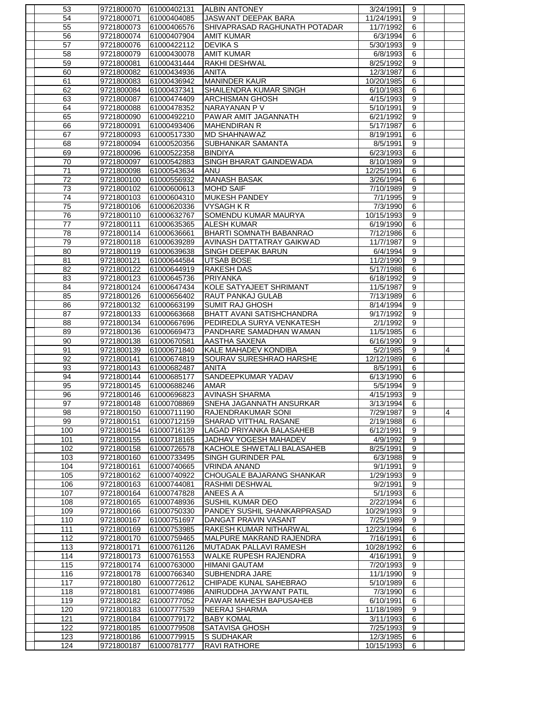| 53         | 9721800070 | 61000402131 | <b>ALBIN ANTONEY</b>             | 3/24/1991  | 9                |                |
|------------|------------|-------------|----------------------------------|------------|------------------|----------------|
| 54         | 9721800071 | 61000404085 | JASWANT DEEPAK BARA              | 11/24/1991 | 9                |                |
| 55         | 9721800073 | 61000406576 | SHIVAPRASAD RAGHUNATH POTADAR    | 11/7/1992  | 6                |                |
| 56         | 9721800074 | 61000407904 | <b>AMIT KUMAR</b>                | 6/3/1994   | 6                |                |
| 57         | 9721800076 | 61000422112 | <b>DEVIKA S</b>                  | 5/30/1993  | 9                |                |
| 58         | 9721800079 | 61000430078 | <b>AMIT KUMAR</b>                | 6/8/1993   | 6                |                |
| 59         | 9721800081 | 61000431444 | IRAKHI DESHWAL                   | 8/25/1992  | 9                |                |
| 60         | 9721800082 | 61000434936 | <b>ANITA</b>                     | 12/3/1987  | 6                |                |
| 61         | 9721800083 | 61000436942 | <b>MANINDER KAUR</b>             | 10/20/1985 | $\overline{6}$   |                |
| 62         | 9721800084 | 61000437341 | SHAILENDRA KUMAR SINGH           | 6/10/1983  | 6                |                |
| 63         | 9721800087 | 61000474409 | <b>ARCHISMAN GHOSH</b>           | 4/15/1993  | 9                |                |
| 64         | 9721800088 | 61000478352 | NARAYANAN P V                    | 5/10/1991  | $\boldsymbol{9}$ |                |
| 65         | 9721800090 | 61000492210 | PAWAR AMIT JAGANNATH             | 6/21/1992  | $\overline{9}$   |                |
| 66         | 9721800091 | 61000493406 | <b>MAHENDIRAN R</b>              | 5/17/1987  | 6                |                |
| 67         | 9721800093 | 61000517330 | <b>MD SHAHNAWAZ</b>              | 8/19/1991  | 6                |                |
| 68         | 9721800094 | 61000520356 | <b>SUBHANKAR SAMANTA</b>         | 8/5/1991   | 9                |                |
| 69         | 9721800096 | 61000522358 | <b>BINDIYA</b>                   | 6/23/1993  | 6                |                |
| 70         | 9721800097 | 61000542883 | SINGH BHARAT GAINDEWADA          | 8/10/1989  | $\boldsymbol{9}$ |                |
| 71         | 9721800098 | 61000543634 | <b>ANU</b>                       | 12/25/1991 | 6                |                |
| 72         | 9721800100 | 61000556932 | <b>MANASH BASAK</b>              | 3/26/1994  | 6                |                |
| 73         | 9721800102 | 61000600613 | <b>MOHD SAIF</b>                 | 7/10/1989  | 9                |                |
| 74         |            |             |                                  | 7/1/1995   | 9                |                |
|            | 9721800103 | 61000604310 | <b>MUKESH PANDEY</b>             | 7/3/1990   | 6                |                |
| 75         | 9721800106 | 61000620336 | <b>VYSAGH K R</b>                |            |                  |                |
| 76         | 9721800110 | 61000632767 | SOMENDU KUMAR MAURYA             | 10/15/1993 | 9                |                |
| 77         | 9721800111 | 61000635365 | <b>ALESH KUMAR</b>               | 6/19/1990  | 6                |                |
| 78         | 9721800114 | 61000636661 | <b>BHARTI SOMNATH BABANRAO</b>   | 7/12/1986  | 6                |                |
| 79         | 9721800118 | 61000639289 | AVINASH DATTATRAY GAIKWAD        | 11/7/1987  | $\boldsymbol{9}$ |                |
| 80         | 9721800119 | 61000639638 | SINGH DEEPAK BARUN               | 6/4/1994   | 9                |                |
| 81         | 9721800121 | 61000644584 | <b>UTSAB BOSE</b>                | 11/2/1990  | 9                |                |
| 82         | 9721800122 | 61000644919 | <b>RAKESH DAS</b>                | 5/17/1988  | 6                |                |
| 83         | 9721800123 | 61000645736 | PRIYANKA                         | 6/18/1992  | $\overline{9}$   |                |
| 84         | 9721800124 | 61000647434 | KOLE SATYAJEET SHRIMANT          | 11/5/1987  | 9                |                |
| 85         | 9721800126 | 61000656402 | <b>RAUT PANKAJ GULAB</b>         | 7/13/1989  | 6                |                |
| 86         | 9721800132 | 61000663199 | <b>SUMIT RAJ GHOSH</b>           | 8/14/1994  | 9                |                |
| 87         | 9721800133 | 61000663668 | <b>BHATT AVANI SATISHCHANDRA</b> | 9/17/1992  | 9                |                |
| 88         | 9721800134 | 61000667696 | PEDIREDLA SURYA VENKATESH        | 2/1/1992   | 9                |                |
| 89         | 9721800136 | 61000669473 | PANDHARE SAMADHAN WAMAN          | 11/5/1985  | 6                |                |
| 90         | 9721800138 | 61000670581 | AASTHA SAXENA                    | 6/16/1990  | 9                |                |
| 91         | 9721800139 | 61000671840 | <b>KALE MAHADEV KONDIBA</b>      | 5/2/1985   | 9                | 4              |
| 92         | 9721800141 | 61000674819 | SOURAV SURESHRAO HARSHE          | 12/12/1989 | 6                |                |
| 93         | 9721800143 | 61000682487 | <b>ANITA</b>                     | 8/5/1991   | 6                |                |
| 94         | 9721800144 | 61000685177 | SANDEEPKUMAR YADAV               | 6/13/1990  | 6                |                |
| 95         | 9721800145 | 61000688246 | <b>AMAR</b>                      | 5/5/1994   | 9                |                |
| 96         | 9721800146 | 61000696823 | <b>AVINASH SHARMA</b>            | 4/15/1993  | $\overline{9}$   |                |
| 97         | 9721800148 | 61000708869 | <b>SNEHA JAGANNATH ANSURKAR</b>  | 3/13/1994  | 6                |                |
| 98         | 9721800150 | 61000711190 | RAJENDRAKUMAR SONI               | 7/29/1987  | 9                | $\overline{4}$ |
| 99         | 9721800151 | 61000712159 | SHARAD VITTHAL RASANE            | 2/19/1988  | 6                |                |
| 100        | 9721800154 | 61000716139 | LAGAD PRIYANKA BALASAHEB         | 6/12/1991  | 9                |                |
| 101        | 9721800155 | 61000718165 | JADHAV YOGESH MAHADEV            | 4/9/1992   | $\overline{9}$   |                |
| 102        | 9721800158 | 61000726578 | KACHOLE SHWETALI BALASAHEB       | 8/25/1991  | 9                |                |
| 103        | 9721800160 | 61000733495 | <b>SINGH GURINDER PAL</b>        | 6/3/1988   | $\overline{9}$   |                |
| 104        | 9721800161 | 61000740665 | <b>VRINDA ANAND</b>              | 9/1/1991   | $\overline{9}$   |                |
| 105        | 9721800162 | 61000740922 | CHOUGALE BAJARANG SHANKAR        | 1/29/1993  | $\overline{9}$   |                |
| 106        | 9721800163 | 61000744081 | <b>RASHMI DESHWAL</b>            | 9/2/1991   | $\overline{9}$   |                |
| 107        | 9721800164 | 61000747828 | ANEES A A                        | 5/1/1993   | 6                |                |
| 108        | 9721800165 | 61000748936 | <b>SUSHIL KUMAR DEO</b>          | 2/22/1994  | $\overline{6}$   |                |
| 109        | 9721800166 | 61000750330 | PANDEY SUSHIL SHANKARPRASAD      | 10/29/1993 | 9                |                |
| 110        | 9721800167 | 61000751697 | DANGAT PRAVIN VASANT             | 7/25/1989  | $\boldsymbol{9}$ |                |
| 111        | 9721800169 | 61000753985 | RAKESH KUMAR NITHARWAL           | 12/23/1994 | $6\overline{6}$  |                |
| 112        | 9721800170 | 61000759465 | MALPURE MAKRAND RAJENDRA         | 7/16/1991  | 6                |                |
| 113        | 9721800171 | 61000761126 | MUTADAK PALLAVI RAMESH           | 10/28/1992 | 6                |                |
| 114        | 9721800173 | 61000761553 | WALKE RUPESH RAJENDRA            | 4/16/1991  | $\overline{9}$   |                |
| 115        | 9721800174 | 61000763000 | <b>HIMANI GAUTAM</b>             | 7/20/1993  | $\overline{9}$   |                |
| 116        | 9721800178 | 61000766340 | SUBHENDRA JARE                   | 11/1/1990  | $\boldsymbol{9}$ |                |
| 117        | 9721800180 | 61000772612 | CHIPADE KUNAL SAHEBRAO           | 5/10/1989  | 6                |                |
| 118        | 9721800181 | 61000774986 | ANIRUDDHA JAYWANT PATIL          | 7/3/1990   | 6                |                |
| 119        | 9721800182 | 61000777052 | PAWAR MAHESH BAPUSAHEB           | 6/10/1991  | 6                |                |
| 120        | 9721800183 | 61000777539 | <b>NEERAJ SHARMA</b>             | 11/18/1989 | 9                |                |
| 121        | 9721800184 | 61000779172 | <b>BABY KOMAL</b>                | 3/11/1993  | 6                |                |
| 122        | 9721800185 | 61000779508 | <b>SATAVISA GHOSH</b>            | 7/25/1993  | 9                |                |
|            |            | 61000779915 | <b>S SUDHAKAR</b>                | 12/3/1985  |                  |                |
| 123<br>124 | 9721800186 | 61000781777 |                                  |            | 6                |                |
|            | 9721800187 |             | <b>RAVI RATHORE</b>              | 10/15/1993 | 6                |                |